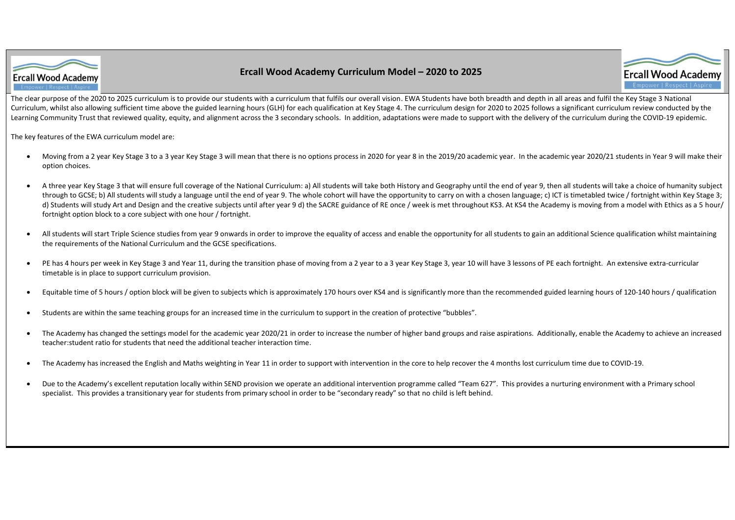

#### **Ercall Wood Academy Curriculum Model – 2020 to 2025**



The clear purpose of the 2020 to 2025 curriculum is to provide our students with a curriculum that fulfils our overall vision. EWA Students have both breadth and depth in all areas and fulfil the Key Stage 3 National Curriculum, whilst also allowing sufficient time above the guided learning hours (GLH) for each qualification at Key Stage 4. The curriculum design for 2020 to 2025 follows a significant curriculum review conducted by the Learning Community Trust that reviewed quality, equity, and alignment across the 3 secondary schools. In addition, adaptations were made to support with the delivery of the curriculum during the COVID-19 epidemic.

The key features of the EWA curriculum model are:

- Moving from a 2 year Key Stage 3 to a 3 year Key Stage 3 will mean that there is no options process in 2020 for year 8 in the 2019/20 academic year. In the academic year 2020/21 students in Year 9 will make their option choices.
- A three year Key Stage 3 that will ensure full coverage of the National Curriculum: a) All students will take both History and Geography until the end of year 9, then all students will take a choice of humanity subject through to GCSE; b) All students will study a language until the end of year 9. The whole cohort will have the opportunity to carry on with a chosen language; c) ICT is timetabled twice / fortnight within Key Stage 3; d) Students will study Art and Design and the creative subjects until after year 9 d) the SACRE guidance of RE once / week is met throughout KS3. At KS4 the Academy is moving from a model with Ethics as a 5 hour/ fortnight option block to a core subject with one hour / fortnight.
- All students will start Triple Science studies from year 9 onwards in order to improve the equality of access and enable the opportunity for all students to gain an additional Science qualification whilst maintaining the requirements of the National Curriculum and the GCSE specifications.
- PE has 4 hours per week in Key Stage 3 and Year 11, during the transition phase of moving from a 2 year to a 3 year Key Stage 3, year 10 will have 3 lessons of PE each fortnight. An extensive extra-curricular timetable is in place to support curriculum provision.
- Equitable time of 5 hours / option block will be given to subjects which is approximately 170 hours over KS4 and is significantly more than the recommended guided learning hours of 120-140 hours / qualification
- Students are within the same teaching groups for an increased time in the curriculum to support in the creation of protective "bubbles".
- The Academy has changed the settings model for the academic year 2020/21 in order to increase the number of higher band groups and raise aspirations. Additionally, enable the Academy to achieve an increased teacher:student ratio for students that need the additional teacher interaction time.
- The Academy has increased the English and Maths weighting in Year 11 in order to support with intervention in the core to help recover the 4 months lost curriculum time due to COVID-19.
- Due to the Academy's excellent reputation locally within SEND provision we operate an additional intervention programme called "Team 627". This provides a nurturing environment with a Primary school specialist. This provides a transitionary year for students from primary school in order to be "secondary ready" so that no child is left behind.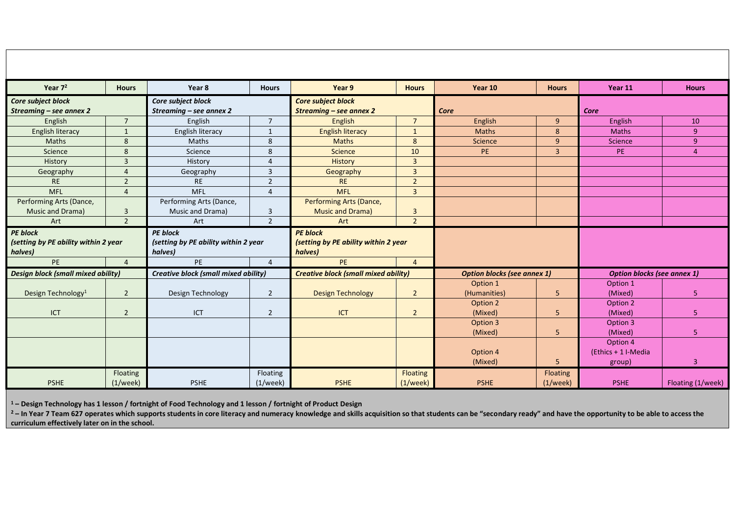| Year $72$                                 | <b>Hours</b>   | Year 8                                        | <b>Hours</b>   | Year 9                                               | <b>Hours</b>    | Year 10      | <b>Hours</b>   | Year 11                                                                  | <b>Hours</b>      |
|-------------------------------------------|----------------|-----------------------------------------------|----------------|------------------------------------------------------|-----------------|--------------|----------------|--------------------------------------------------------------------------|-------------------|
| Core subject block                        |                | Core subject block<br>Streaming - see annex 2 |                | <b>Core subject block</b><br>Streaming – see annex 2 |                 | Core         |                | Core                                                                     |                   |
| Streaming – see annex 2<br>English        | $\overline{7}$ | English                                       | $\overline{7}$ | <b>English</b>                                       | $\overline{7}$  | English      | 9 <sup>°</sup> | English                                                                  | 10                |
| English literacy                          | $\mathbf{1}$   | English literacy                              | $\mathbf{1}$   | <b>English literacy</b>                              | $\mathbf{1}$    | <b>Maths</b> | 8              | <b>Maths</b>                                                             | 9 <sup>°</sup>    |
| <b>Maths</b>                              | 8              | Maths                                         | 8              | <b>Maths</b>                                         | 8               | Science      | 9              | Science                                                                  | 9                 |
| Science                                   | 8              | Science                                       | 8              | Science                                              | 10              | PE           | $\overline{3}$ | PE                                                                       | $\overline{4}$    |
| History                                   | $\overline{3}$ | History                                       | $\overline{4}$ | History                                              | $\overline{3}$  |              |                |                                                                          |                   |
| Geography                                 | $\overline{4}$ | Geography                                     | 3              | Geography                                            | $\overline{3}$  |              |                |                                                                          |                   |
| <b>RE</b>                                 | $\overline{2}$ | <b>RE</b>                                     | $\overline{2}$ | <b>RE</b>                                            | $\overline{2}$  |              |                |                                                                          |                   |
| <b>MFL</b>                                | $\overline{4}$ | <b>MFL</b>                                    | $\overline{4}$ | <b>MFL</b>                                           | $\overline{3}$  |              |                |                                                                          |                   |
| Performing Arts (Dance,                   |                | Performing Arts (Dance,                       |                | Performing Arts (Dance,                              |                 |              |                |                                                                          |                   |
| Music and Drama)                          | 3              | Music and Drama)                              | 3              | <b>Music and Drama)</b>                              | 3               |              |                |                                                                          |                   |
| Art                                       | $\overline{2}$ | Art                                           | $\overline{2}$ | Art                                                  | $\overline{2}$  |              |                |                                                                          |                   |
| <b>PE block</b>                           |                | <b>PE</b> block                               |                | <b>PE block</b>                                      |                 |              |                |                                                                          |                   |
| (setting by PE ability within 2 year      |                | (setting by PE ability within 2 year          |                | (setting by PE ability within 2 year                 |                 |              |                |                                                                          |                   |
| halves)                                   |                | halves)                                       |                | halves)                                              |                 |              |                |                                                                          |                   |
| PE                                        | $\overline{4}$ | PE                                            | $\overline{4}$ | PE                                                   | $\overline{4}$  |              |                |                                                                          |                   |
| <b>Design block (small mixed ability)</b> |                | <b>Creative block (small mixed ability)</b>   |                | <b>Creative block (small mixed ability)</b>          |                 |              |                | <b>Option blocks (see annex 1)</b><br><b>Option blocks (see annex 1)</b> |                   |
|                                           |                |                                               |                |                                                      |                 | Option 1     |                | Option 1                                                                 |                   |
| Design Technology <sup>1</sup>            | $\overline{2}$ | Design Technology                             | $\overline{2}$ | <b>Design Technology</b>                             | $\overline{2}$  | (Humanities) | 5              | (Mixed)                                                                  | 5                 |
|                                           |                |                                               |                |                                                      |                 | Option 2     |                | Option 2                                                                 |                   |
| ICT                                       | $\overline{2}$ | ICT                                           | $\overline{2}$ | ICT                                                  | $\overline{2}$  | (Mixed)      | 5              | (Mixed)                                                                  | 5                 |
|                                           |                |                                               |                |                                                      |                 | Option 3     |                | Option 3                                                                 |                   |
|                                           |                |                                               |                |                                                      |                 | (Mixed)      | 5              | (Mixed)                                                                  | 5                 |
|                                           |                |                                               |                |                                                      |                 |              |                | Option 4                                                                 |                   |
|                                           |                |                                               |                |                                                      |                 | Option 4     |                | (Ethics + 1 I-Media                                                      |                   |
|                                           |                |                                               |                |                                                      |                 | (Mixed)      | 5              | group)                                                                   | $\overline{3}$    |
|                                           | Floating       |                                               | Floating       |                                                      | <b>Floating</b> |              | Floating       |                                                                          |                   |
| <b>PSHE</b>                               | (1/week)       | <b>PSHE</b>                                   | (1/week)       | <b>PSHE</b>                                          | (1/week)        | <b>PSHE</b>  | (1/week)       | <b>PSHE</b>                                                              | Floating (1/week) |

**<sup>1</sup> – Design Technology has 1 lesson / fortnight of Food Technology and 1 lesson / fortnight of Product Design**

<sup>2</sup> – In Year 7 Team 627 operates which supports students in core literacy and numeracy knowledge and skills acquisition so that students can be "secondary ready" and have the opportunity to be able to access the **curriculum effectively later on in the school.**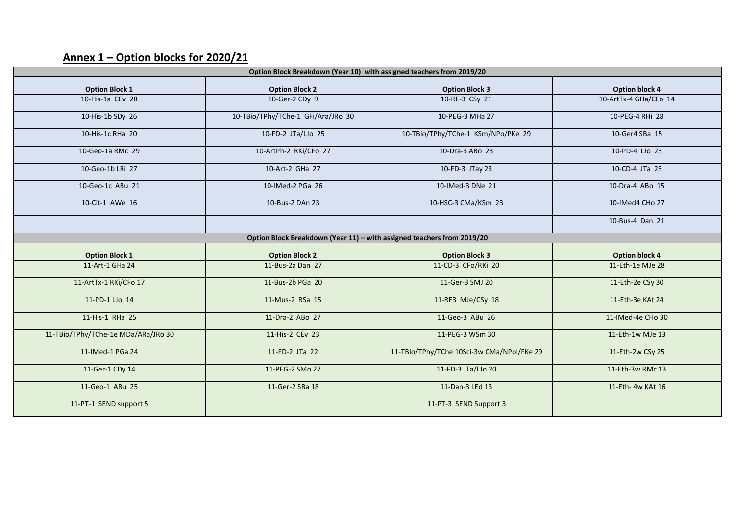# **Annex 1 – Option blocks for 2020/21**

| Option Block Breakdown (Year 10) with assigned teachers from 2019/20 |                                                                        |                                            |                       |  |  |  |
|----------------------------------------------------------------------|------------------------------------------------------------------------|--------------------------------------------|-----------------------|--|--|--|
| <b>Option Block 1</b>                                                | <b>Option Block 2</b>                                                  | <b>Option Block 3</b>                      | <b>Option block 4</b> |  |  |  |
| 10-His-1a CEv 28                                                     | 10-Ger-2 CDy 9                                                         | 10-RE-3 CSy 21                             | 10-ArtTx-4 GHa/CFo 14 |  |  |  |
| 10-His-1b SDy 26                                                     | 10-TBio/TPhy/TChe-1 GFi/Ara/JRo 30                                     | 10-PEG-3 MHa 27                            | 10-PEG-4 RHi 28       |  |  |  |
| 10-His-1c RHa 20                                                     | 10-FD-2 JTa/LJo 25                                                     | 10-TBio/TPhy/TChe-1 KSm/NPo/PKe 29         | 10-Ger4 SBa 15        |  |  |  |
| 10-Geo-1a RMc 29                                                     | 10-ArtPh-2 RKi/CFo 27                                                  | 10-Dra-3 ABo 23                            | 10-PD-4 LJo 23        |  |  |  |
| 10-Geo-1b LRi 27                                                     | 10-Art-2 GHa 27                                                        | 10-FD-3 JTay 23                            | 10-CD-4 JTa 23        |  |  |  |
| 10-Geo-1c ABu 21                                                     | 10-IMed-2 PGa 26                                                       | 10-IMed-3 DNe 21                           | 10-Dra-4 ABo 15       |  |  |  |
| 10-Cit-1 AWe 16                                                      | 10-Bus-2 DAn 23                                                        | 10-HSC-3 CMa/KSm 23                        | 10-IMed4 CHo 27       |  |  |  |
|                                                                      |                                                                        |                                            | 10-Bus-4 Dan 21       |  |  |  |
|                                                                      | Option Block Breakdown (Year 11) - with assigned teachers from 2019/20 |                                            |                       |  |  |  |
| <b>Option Block 1</b>                                                | <b>Option Block 2</b>                                                  | <b>Option Block 3</b>                      | <b>Option block 4</b> |  |  |  |
| 11-Art-1 GHa 24                                                      | 11-Bus-2a Dan 27                                                       | 11-CD-3 CFo/RKi 20                         | 11-Eth-1e MJe 28      |  |  |  |
| 11-ArtTx-1 RKi/CFo 17                                                | 11-Bus-2b PGa 20                                                       | 11-Ger-3 SMJ 20                            | 11-Eth-2e CSy 30      |  |  |  |
| 11-PD-1 LJo 14                                                       | 11-Mus-2 RSa 15                                                        | 11-RE3 MJe/CSy 18                          | 11-Eth-3e KAt 24      |  |  |  |
| 11-His-1 RHa 25                                                      | 11-Dra-2 ABo 27                                                        | 11-Geo-3 ABu 26                            | 11-IMed-4e CHo 30     |  |  |  |
| 11-TBio/TPhy/TChe-1e MDa/ARa/JRo 30                                  | 11-His-2 CEv 23                                                        | 11-PEG-3 WSm 30                            | 11-Eth-1w MJe 13      |  |  |  |
| 11-IMed-1 PGa 24                                                     | 11-FD-2 JTa 22                                                         | 11-TBio/TPhy/TChe 10Sci-3w CMa/NPol/FKe 29 | 11-Eth-2w CSy 25      |  |  |  |
| 11-Ger-1 CDy 14                                                      | 11-PEG-2 SMo 27                                                        | 11-FD-3 JTa/LJo 20                         | 11-Eth-3w RMc 13      |  |  |  |
| 11-Geo-1 ABu 25                                                      | 11-Ger-2 SBa 18                                                        | 11-Dan-3 LEd 13                            | 11-Eth- 4w KAt 16     |  |  |  |
| 11-PT-1 SEND support 5                                               |                                                                        | 11-PT-3 SEND Support 3                     |                       |  |  |  |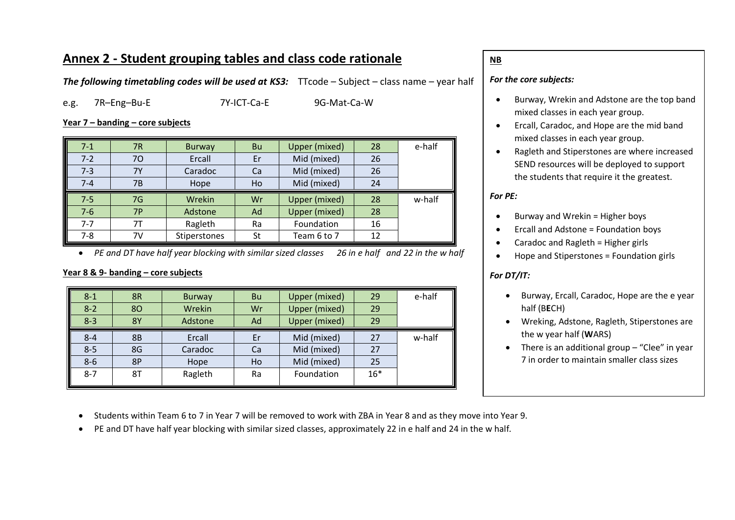## **Annex 2 - Student grouping tables and class code rationale**

*The following timetabling codes will be used at KS3:* TTcode – Subject – class name – year half

e.g. 7R–Eng–Bu-E 7Y-ICT-Ca-E 9G-Mat-Ca-W

#### **Year 7 – banding – core subjects**

| $7 - 1$ | 7R        | <b>Burway</b> | Bu | Upper (mixed) | 28 | e-half |
|---------|-----------|---------------|----|---------------|----|--------|
| $7 - 2$ | 70        | Ercall        | Er | Mid (mixed)   | 26 |        |
| $7 - 3$ | <b>7Y</b> | Caradoc       | Ca | Mid (mixed)   | 26 |        |
| $7 - 4$ | 7B        | Hope          | Ho | Mid (mixed)   | 24 |        |
|         |           |               |    |               |    |        |
| $7 - 5$ | 7G        | Wrekin        | Wr | Upper (mixed) | 28 | w-half |
| $7-6$   | 7P        | Adstone       | Ad | Upper (mixed) | 28 |        |
| $7 - 7$ | 7T        | Ragleth       | Ra | Foundation    | 16 |        |

• *PE and DT have half year blocking with similar sized classes 26 in e half and 22 in the w half*

## **Year 8 & 9- banding – core subjects**

| $8 - 1$ | 8R        | <b>Burway</b> | Bu | Upper (mixed) | 29    | e-half |
|---------|-----------|---------------|----|---------------|-------|--------|
| $8 - 2$ | 80        | Wrekin        | Wr | Upper (mixed) | 29    |        |
| $8 - 3$ | <b>8Y</b> | Adstone       | Ad | Upper (mixed) | 29    |        |
| $8 - 4$ | 8B        | Ercall        | Er | Mid (mixed)   | 27    | w-half |
| $8 - 5$ | 8G        | Caradoc       | Ca | Mid (mixed)   | 27    |        |
| $8 - 6$ | 8P        | Hope          | Ho | Mid (mixed)   | 25    |        |
| $8 - 7$ | 8Τ        | Ragleth       | Ra | Foundation    | $16*$ |        |

## **NB**

#### *For the core subjects:*

- Burway, Wrekin and Adstone are the top band mixed classes in each year group.
- Ercall, Caradoc, and Hope are the mid band mixed classes in each year group.
- Ragleth and Stiperstones are where increased SEND resources will be deployed to support the students that require it the greatest.

#### *For PE:*

- Burway and Wrekin = Higher boys
- Ercall and Adstone = Foundation boys
- Caradoc and Ragleth = Higher girls
- Hope and Stiperstones = Foundation girls

#### *For DT/IT:*

- Burway, Ercall, Caradoc, Hope are the e year half (B**E**CH)
- Wreking, Adstone, Ragleth, Stiperstones are the w year half (**W**ARS)
- There is an additional group "Clee" in year 7 in order to maintain smaller class sizes
- Students within Team 6 to 7 in Year 7 will be removed to work with ZBA in Year 8 and as they move into Year 9.
- PE and DT have half year blocking with similar sized classes, approximately 22 in e half and 24 in the w half*.*